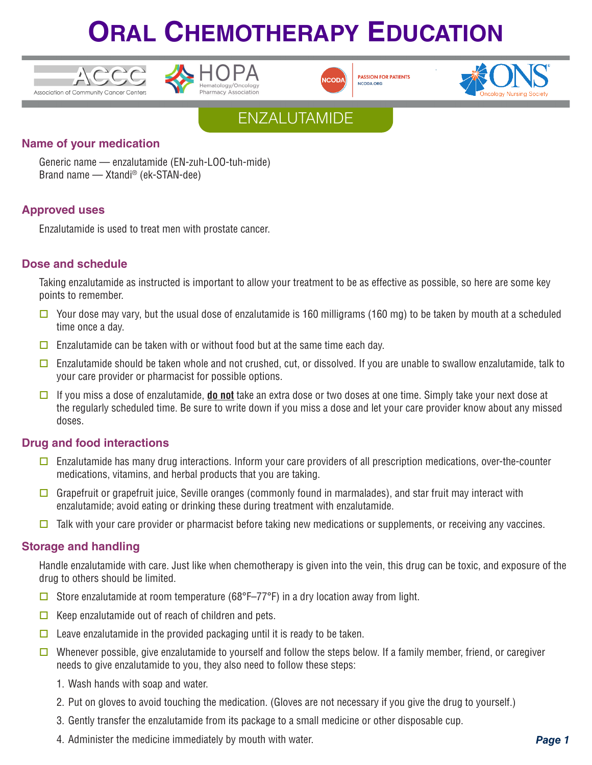





**PASSION FOR PATIENTS** NCODA, ORG





## **Name of your medication**

Generic name — enzalutamide (EN-zuh-LOO-tuh-mide) Brand name — Xtandi® (ek-STAN-dee)

## **Approved uses**

Enzalutamide is used to treat men with prostate cancer.

## **Dose and schedule**

Taking enzalutamide as instructed is important to allow your treatment to be as effective as possible, so here are some key points to remember.

- $\Box$  Your dose may vary, but the usual dose of enzalutamide is 160 milligrams (160 mg) to be taken by mouth at a scheduled time once a day.
- $\Box$  Enzalutamide can be taken with or without food but at the same time each day.
- $\Box$  Enzalutamide should be taken whole and not crushed, cut, or dissolved. If you are unable to swallow enzalutamide, talk to your care provider or pharmacist for possible options.
- □ If you miss a dose of enzalutamide, **do not** take an extra dose or two doses at one time. Simply take your next dose at the regularly scheduled time. Be sure to write down if you miss a dose and let your care provider know about any missed doses.

## **Drug and food interactions**

- $\square$  Enzalutamide has many drug interactions. Inform your care providers of all prescription medications, over-the-counter medications, vitamins, and herbal products that you are taking.
- Grapefruit or grapefruit juice, Seville oranges (commonly found in marmalades), and star fruit may interact with enzalutamide; avoid eating or drinking these during treatment with enzalutamide.
- $\Box$  Talk with your care provider or pharmacist before taking new medications or supplements, or receiving any vaccines.

### **Storage and handling**

Handle enzalutamide with care. Just like when chemotherapy is given into the vein, this drug can be toxic, and exposure of the drug to others should be limited.

- Store enzalutamide at room temperature (68°F–77°F) in a dry location away from light.
- $\Box$  Keep enzalutamide out of reach of children and pets.
- $\Box$  Leave enzalutamide in the provided packaging until it is ready to be taken.
- Whenever possible, give enzalutamide to yourself and follow the steps below. If a family member, friend, or caregiver needs to give enzalutamide to you, they also need to follow these steps:
	- 1. Wash hands with soap and water.
	- 2. Put on gloves to avoid touching the medication. (Gloves are not necessary if you give the drug to yourself.)
	- 3. Gently transfer the enzalutamide from its package to a small medicine or other disposable cup.
	- 4. Administer the medicine immediately by mouth with water.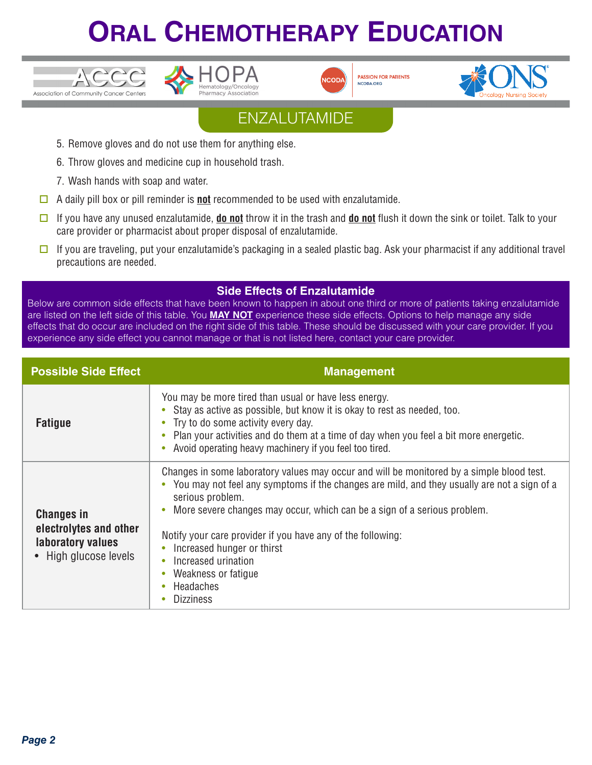





**PASSION FOR PATIENTS** NCODA.ORG



## ENZALUTAMIDE

- 5. Remove gloves and do not use them for anything else.
- 6. Throw gloves and medicine cup in household trash.
- 7. Wash hands with soap and water.
- $\Box$  A daily pill box or pill reminder is **not** recommended to be used with enzalutamide.
- □ If you have any unused enzalutamide, **do not** throw it in the trash and **do not** flush it down the sink or toilet. Talk to your care provider or pharmacist about proper disposal of enzalutamide.
- $\Box$  If you are traveling, put your enzalutamide's packaging in a sealed plastic bag. Ask your pharmacist if any additional travel precautions are needed.

## **Side Effects of Enzalutamide**

Below are common side effects that have been known to happen in about one third or more of patients taking enzalutamide are listed on the left side of this table. You **MAY NOT** experience these side effects. Options to help manage any side effects that do occur are included on the right side of this table. These should be discussed with your care provider. If you experience any side effect you cannot manage or that is not listed here, contact your care provider.

| <b>Possible Side Effect</b>                                                               | <b>Management</b>                                                                                                                                                                                                                                                                                                                                                                                                                                                      |
|-------------------------------------------------------------------------------------------|------------------------------------------------------------------------------------------------------------------------------------------------------------------------------------------------------------------------------------------------------------------------------------------------------------------------------------------------------------------------------------------------------------------------------------------------------------------------|
| <b>Fatigue</b>                                                                            | You may be more tired than usual or have less energy.<br>• Stay as active as possible, but know it is okay to rest as needed, too.<br>• Try to do some activity every day.<br>Plan your activities and do them at a time of day when you feel a bit more energetic.<br>Avoid operating heavy machinery if you feel too tired.                                                                                                                                          |
| <b>Changes in</b><br>electrolytes and other<br>laboratory values<br>• High glucose levels | Changes in some laboratory values may occur and will be monitored by a simple blood test.<br>• You may not feel any symptoms if the changes are mild, and they usually are not a sign of a<br>serious problem.<br>More severe changes may occur, which can be a sign of a serious problem.<br>Notify your care provider if you have any of the following:<br>Increased hunger or thirst<br>Increased urination<br>Weakness or fatigue<br>Headaches<br><b>Dizziness</b> |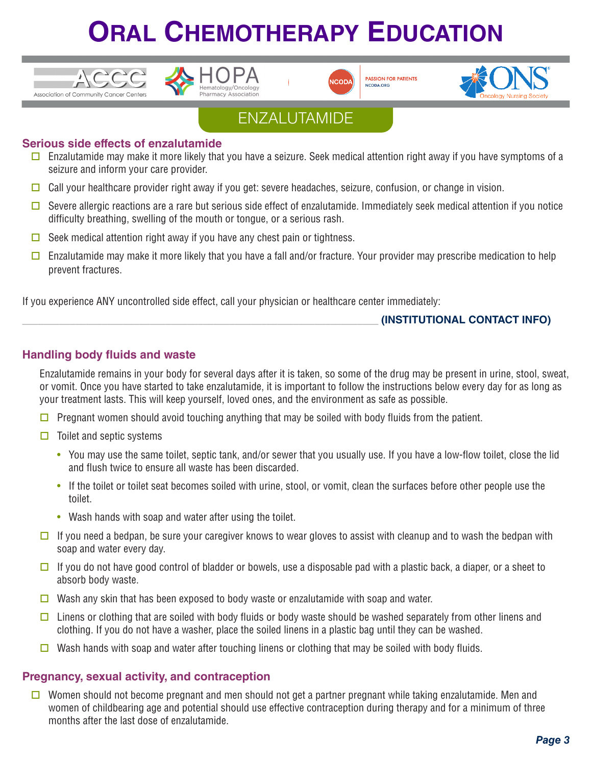



**PASSION FOR PATIENTS** NCODA.ORG



## ENZALUTAMIDE

## **Serious side effects of enzalutamide**

- $\Box$  Enzalutamide may make it more likely that you have a seizure. Seek medical attention right away if you have symptoms of a seizure and inform your care provider.
- $\Box$  Call your healthcare provider right away if you get: severe headaches, seizure, confusion, or change in vision.
- $\Box$  Severe allergic reactions are a rare but serious side effect of enzalutamide. Immediately seek medical attention if you notice difficulty breathing, swelling of the mouth or tongue, or a serious rash.
- $\Box$  Seek medical attention right away if you have any chest pain or tightness.
- $\Box$  Enzalutamide may make it more likely that you have a fall and/or fracture. Your provider may prescribe medication to help prevent fractures.

If you experience ANY uncontrolled side effect, call your physician or healthcare center immediately:

## \_\_\_\_\_\_\_\_\_\_\_\_\_\_\_\_\_\_\_\_\_\_\_\_\_\_\_\_\_\_\_\_\_\_\_\_\_\_\_\_\_\_\_\_\_\_\_\_\_\_\_\_\_\_\_\_\_\_\_\_\_\_\_\_\_\_\_ **(INSTITUTIONAL CONTACT INFO)**

## **Handling body fluids and waste**

Enzalutamide remains in your body for several days after it is taken, so some of the drug may be present in urine, stool, sweat, or vomit. Once you have started to take enzalutamide, it is important to follow the instructions below every day for as long as your treatment lasts. This will keep yourself, loved ones, and the environment as safe as possible.

- **D** Pregnant women should avoid touching anything that may be soiled with body fluids from the patient.
- $\Box$  Toilet and septic systems
	- You may use the same toilet, septic tank, and/or sewer that you usually use. If you have a low-flow toilet, close the lid and flush twice to ensure all waste has been discarded.
	- If the toilet or toilet seat becomes soiled with urine, stool, or vomit, clean the surfaces before other people use the toilet.
	- Wash hands with soap and water after using the toilet.
- $\Box$  If you need a bedpan, be sure your caregiver knows to wear gloves to assist with cleanup and to wash the bedpan with soap and water every day.
- $\Box$  If you do not have good control of bladder or bowels, use a disposable pad with a plastic back, a diaper, or a sheet to absorb body waste.
- **D** Wash any skin that has been exposed to body waste or enzalutamide with soap and water.
- $\Box$  Linens or clothing that are soiled with body fluids or body waste should be washed separately from other linens and clothing. If you do not have a washer, place the soiled linens in a plastic bag until they can be washed.
- $\Box$  Wash hands with soap and water after touching linens or clothing that may be soiled with body fluids.

## **Pregnancy, sexual activity, and contraception**

**O** Women should not become pregnant and men should not get a partner pregnant while taking enzalutamide. Men and women of childbearing age and potential should use effective contraception during therapy and for a minimum of three months after the last dose of enzalutamide.